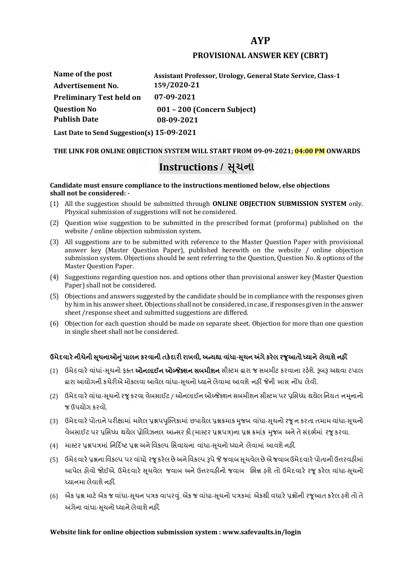# **AYP**

## **PROVISIONAL ANSWER KEY (CBRT)**

**Name of the post Advertisement No. Question No Assistant Professor, Urology, General State Service, Class-1 159/2020-21 Preliminary Test held on 07-09-2021 Publish Date 001 – 200 (Concern Subject) 08-09-2021**

**Last Date to Send Suggestion(s) 15-09-2021**

## **THE LINK FOR ONLINE OBJECTION SYSTEM WILL START FROM 09-09-2021; 04:00 PM ONWARDS**

# **Instructions / �ચના ૂ**

#### **Candidate must ensure compliance to the instructions mentioned below, else objections shall not be considered: -**

- (1) All the suggestion should be submitted through **ONLINE OBJECTION SUBMISSION SYSTEM** only. Physical submission of suggestions will not be considered.
- (2) Question wise suggestion to be submitted in the prescribed format (proforma) published on the website / online objection submission system.
- (3) All suggestions are to be submitted with reference to the Master Question Paper with provisional answer key (Master Question Paper), published herewith on the website / online objection submission system. Objections should be sent referring to the Question, Question No. & options of the Master Question Paper.
- (4) Suggestions regarding question nos. and options other than provisional answer key (Master Question Paper) shall not be considered.
- (5) Objections and answers suggested by the candidate should be in compliance with the responses given by him in his answer sheet. Objections shall not be considered, in case, if responses given in the answer sheet /response sheet and submitted suggestions are differed.
- (6) Objection for each question should be made on separate sheet. Objection for more than one question in single sheet shall not be considered.

## **ઉમેદવાર°નીચેની Ʌ ૂચનાઓȵુંપાલન કરવાની તક°દાર રાખવી, અƛયથા વા ંધા-Ʌ ૂચન Ӕગેકર°લ રȩૂઆતો ƚયાને લેવાશેનહӄ**

- (1) ઉમેદવારે વાંધાં-સુચનો ફક્ત **ઓનલાઈન ઓબ્જેક્શન સબમીશન** સીસ્ટમ હ્રારા જ સબમીટ કરવાના રહેશે. રૂબરૂ અથવા ટપાલ દ્વારા આયોગની કચેરીએ મોકલવા આવેલ વાંધા-સૂચનો ધ્યાને લેવામા આવશે નહીં જેની ખાસ નોંધ લેવી.
- (2) ઉમેદવારે વાંધા-સચનો રજ કરવા વેબસાઈટ / ઓનલાઈન ઓબ્જેક્શન સબમીશન સીસ્ટમ પર પ્રસિધ્ધ થયેલ નિયત નમનાનો જ ઉપયોગ કરવો.
- (3) ઉમેદવારે પોતાને પરીક્ષામાં મળેલ પ્રશ્નપપુસ્તિકામાં છપાયેલ પ્રશ્નક્રમાક મુજબ વાંધા-સૂચનો રજૂન કરતા તમામ વાંધા-સૂચનો વેબસાઈટ પર પ્રસિધ્ધ થયેલ પોવિઝનલ આન્સર કી (માસ્ટર પ્રશ્નપત્ર)ના પ્રશ્ન ક્રમાંક મજબ અને તે સંદર્ભમાં ૨જ કરવા.
- (4) માસ્ટર પ્રશ્નપત્રમાં નિર્દિષ્ટ પ્રશ્ન અને વિકલ્પ સિવાયના વાંધા-સચનો ધ્યાને લેવામાં આવશે નહીં.
- (5) ઉમેદવારે પ્રશ્નના વિકલ્પ પર વાંધો રજૂ કરેલ છે અને વિકલ્પ રૂપે જે જવાબ સુચવેલ છે એ જવાબ ઉમેદવારે પોતાની ઉત્તરવહીમાં આપેલ હોવો જોઈએ. ઉમેદવારે સૂચવેલ જવાબ અને ઉત્તરવહીનો જવાબ ભિન્ન હશે તો ઉમેદવારે રજૂ કરેલ વાંધા-સૂચનો ધ્યાનમા લેવાશે નહીં.
- (6) એક પ્રશ્ન માટે એક જ વાંધા-સૂચન પત્રક વાપરવું. એક જ વાંધા-સૂચનો પત્રકમાં એકથી વધારે પ્રશ્નોની રજૂઆત કરેલ હશે તો તે અંગેના વાંધા-સુચનો ધ્યાને લેવાશે નહીં.

### **Website link for online objection submission system : www.safevaults.in/login**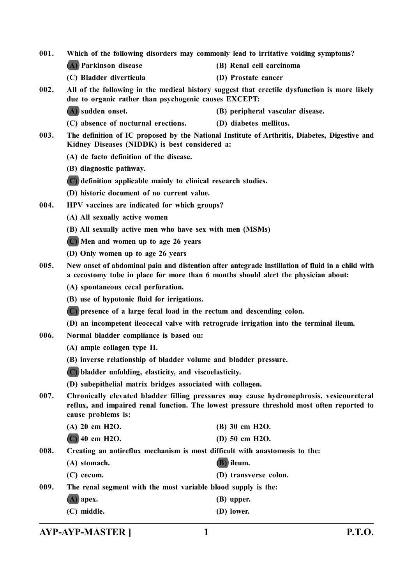**(A) Parkinson disease (B) Renal cell carcinoma (C) Bladder diverticula (D) Prostate cancer 002. All of the following in the medical history suggest that erectile dysfunction is more likely due to organic rather than psychogenic causes EXCEPT: (A) sudden onset. (B) peripheral vascular disease. (C) absence of nocturnal erections. (D) diabetes mellitus. 003. The definition of IC proposed by the National Institute of Arthritis, Diabetes, Digestive and Kidney Diseases (NIDDK) is best considered a: (A) de facto definition of the disease. (B) diagnostic pathway. (C) definition applicable mainly to clinical research studies. (D) historic document of no current value. 004. HPV vaccines are indicated for which groups? (A) All sexually active women (B) All sexually active men who have sex with men (MSMs) (C) Men and women up to age 26 years (D) Only women up to age 26 years 005. New onset of abdominal pain and distention after antegrade instillation of fluid in a child with a cecostomy tube in place for more than 6 months should alert the physician about: (A) spontaneous cecal perforation. (B) use of hypotonic fluid for irrigations. (C) presence of a large fecal load in the rectum and descending colon. (D) an incompetent ileocecal valve with retrograde irrigation into the terminal ileum. 006. Normal bladder compliance is based on: (A) ample collagen type II. (B) inverse relationship of bladder volume and bladder pressure. (C) bladder unfolding, elasticity, and viscoelasticity. (D) subepithelial matrix bridges associated with collagen. 007. Chronically elevated bladder filling pressures may cause hydronephrosis, vesicoureteral reflux, and impaired renal function. The lowest pressure threshold most often reported to cause problems is: (A) 20 cm H2O. (B) 30 cm H2O. (C) 40 cm H2O. (D) 50 cm H2O. 008. Creating an antireflux mechanism is most difficult with anastomosis to the: (A) stomach. (B) ileum. (C) cecum. (D) transverse colon. 009. The renal segment with the most variable blood supply is the: (A) apex. (B) upper. (C) middle. (D) lower.**

**001. Which of the following disorders may commonly lead to irritative voiding symptoms?**

**AYP-AYP-MASTER ] 1 P.T.O.**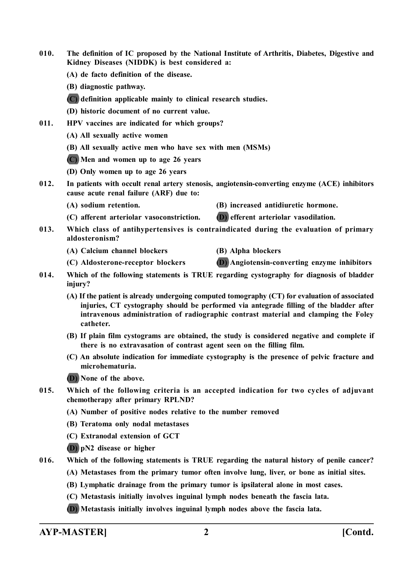- **010. The definition of IC proposed by the National Institute of Arthritis, Diabetes, Digestive and Kidney Diseases (NIDDK) is best considered a:**
	- **(A) de facto definition of the disease.**
	- **(B) diagnostic pathway.**
	- **(C) definition applicable mainly to clinical research studies.**
	- **(D) historic document of no current value.**
- **011. HPV vaccines are indicated for which groups?**
	- **(A) All sexually active women**
	- **(B) All sexually active men who have sex with men (MSMs)**
	- **(C) Men and women up to age 26 years**
	- **(D) Only women up to age 26 years**
- **012. In patients with occult renal artery stenosis, angiotensin-converting enzyme (ACE) inhibitors cause acute renal failure (ARF) due to:**
	-
	- **(A) sodium retention. (B) increased antidiuretic hormone.**
	- **(C) afferent arteriolar vasoconstriction. (D) efferent arteriolar vasodilation.**
- **013. Which class of antihypertensives is contraindicated during the evaluation of primary aldosteronism?**
	- **(A) Calcium channel blockers (B) Alpha blockers**
- - **(C) Aldosterone-receptor blockers (D) Angiotensin-converting enzyme inhibitors**
- **014. Which of the following statements is TRUE regarding cystography for diagnosis of bladder injury?**
	- **(A) If the patient is already undergoing computed tomography (CT) for evaluation of associated injuries, CT cystography should be performed via antegrade filling of the bladder after intravenous administration of radiographic contrast material and clamping the Foley catheter.**
	- **(B) If plain film cystograms are obtained, the study is considered negative and complete if there is no extravasation of contrast agent seen on the filling film.**
	- **(C) An absolute indication for immediate cystography is the presence of pelvic fracture and microhematuria.**
	- **(D) None of the above.**
- **015. Which of the following criteria is an accepted indication for two cycles of adjuvant chemotherapy after primary RPLND?**
	- **(A) Number of positive nodes relative to the number removed**
	- **(B) Teratoma only nodal metastases**
	- **(C) Extranodal extension of GCT**
	- **(D) pN2 disease or higher**
- **016. Which of the following statements is TRUE regarding the natural history of penile cancer?**
	- **(A) Metastases from the primary tumor often involve lung, liver, or bone as initial sites.**
	- **(B) Lymphatic drainage from the primary tumor is ipsilateral alone in most cases.**
	- **(C) Metastasis initially involves inguinal lymph nodes beneath the fascia lata.**
	- **(D) Metastasis initially involves inguinal lymph nodes above the fascia lata.**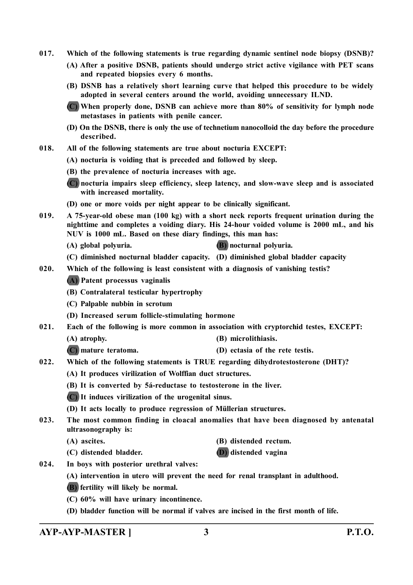- **017. Which of the following statements is true regarding dynamic sentinel node biopsy (DSNB)?**
	- **(A) After a positive DSNB, patients should undergo strict active vigilance with PET scans and repeated biopsies every 6 months.**
	- **(B) DSNB has a relatively short learning curve that helped this procedure to be widely adopted in several centers around the world, avoiding unnecessary ILND.**
	- **(C) When properly done, DSNB can achieve more than 80% of sensitivity for lymph node metastases in patients with penile cancer.**
	- **(D) On the DSNB, there is only the use of technetium nanocolloid the day before the procedure described.**
- **018. All of the following statements are true about nocturia EXCEPT:**
	- **(A) nocturia is voiding that is preceded and followed by sleep.**
	- **(B) the prevalence of nocturia increases with age.**
	- **(C) nocturia impairs sleep efficiency, sleep latency, and slow-wave sleep and is associated with increased mortality.**
	- **(D) one or more voids per night appear to be clinically significant.**
- **019. A 75-year-old obese man (100 kg) with a short neck reports frequent urination during the nighttime and completes a voiding diary. His 24-hour voided volume is 2000 mL, and his NUV is 1000 mL. Based on these diary findings, this man has:**
	- **(A) global polyuria. (B) nocturnal polyuria.**
	- **(C) diminished nocturnal bladder capacity. (D) diminished global bladder capacity**
- **020. Which of the following is least consistent with a diagnosis of vanishing testis?**
	- **(A) Patent processus vaginalis**
	- **(B) Contralateral testicular hypertrophy**
	- **(C) Palpable nubbin in scrotum**
	- **(D) Increased serum follicle-stimulating hormone**
- **021. Each of the following is more common in association with cryptorchid testes, EXCEPT:**
	- **(A) atrophy. (B) microlithiasis.**
	- **(C) mature teratoma. (D) ectasia of the rete testis.**
- **022. Which of the following statements is TRUE regarding dihydrotestosterone (DHT)?**
	- **(A) It produces virilization of Wolffian duct structures.**
	- **(B) It is converted by 5á-reductase to testosterone in the liver.**
	- **(C) It induces virilization of the urogenital sinus.**
	- **(D) It acts locally to produce regression of Müllerian structures.**
- **023. The most common finding in cloacal anomalies that have been diagnosed by antenatal ultrasonography is:**
	-
	- **(C) distended bladder. (D) distended vagina**
	- **(A) ascites. (B) distended rectum.**
		-
- **024. In boys with posterior urethral valves:**
	- **(A) intervention in utero will prevent the need for renal transplant in adulthood.**
	- **(B) fertility will likely be normal.**
	- **(C) 60% will have urinary incontinence.**
	- **(D) bladder function will be normal if valves are incised in the first month of life.**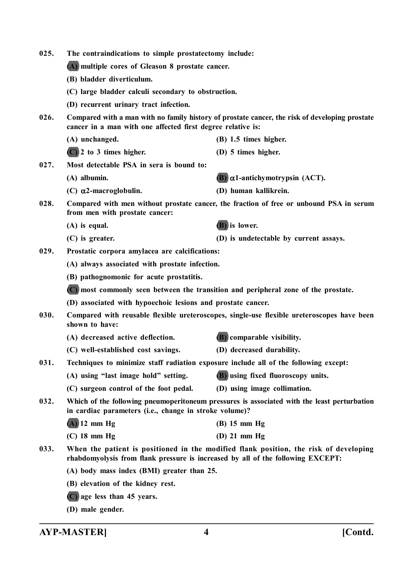| 025.                                             | The contraindications to simple prostatectomy include:                                                                                                                   |                                                                                            |  |
|--------------------------------------------------|--------------------------------------------------------------------------------------------------------------------------------------------------------------------------|--------------------------------------------------------------------------------------------|--|
| (A) multiple cores of Gleason 8 prostate cancer. |                                                                                                                                                                          |                                                                                            |  |
|                                                  | (B) bladder diverticulum.                                                                                                                                                |                                                                                            |  |
|                                                  | (C) large bladder calculi secondary to obstruction.                                                                                                                      |                                                                                            |  |
|                                                  | (D) recurrent urinary tract infection.                                                                                                                                   |                                                                                            |  |
| 026.                                             | Compared with a man with no family history of prostate cancer, the risk of developing prostate<br>cancer in a man with one affected first degree relative is:            |                                                                                            |  |
|                                                  | (A) unchanged.                                                                                                                                                           | $(B)$ 1.5 times higher.                                                                    |  |
|                                                  | $(C)$ 2 to 3 times higher.                                                                                                                                               | (D) 5 times higher.                                                                        |  |
| 027.                                             | Most detectable PSA in sera is bound to:                                                                                                                                 |                                                                                            |  |
|                                                  | $(A)$ albumin.                                                                                                                                                           | $(B)$ $\alpha$ 1-antichymotrypsin (ACT).                                                   |  |
|                                                  | (C) $\alpha$ 2-macroglobulin.                                                                                                                                            | (D) human kallikrein.                                                                      |  |
| 028.                                             | from men with prostate cancer:                                                                                                                                           | Compared with men without prostate cancer, the fraction of free or unbound PSA in serum    |  |
|                                                  | $(A)$ is equal.                                                                                                                                                          | (B) is lower.                                                                              |  |
|                                                  | $(C)$ is greater.                                                                                                                                                        | (D) is undetectable by current assays.                                                     |  |
| 029.                                             | Prostatic corpora amylacea are calcifications:                                                                                                                           |                                                                                            |  |
|                                                  | (A) always associated with prostate infection.                                                                                                                           |                                                                                            |  |
|                                                  | (B) pathognomonic for acute prostatitis.                                                                                                                                 |                                                                                            |  |
|                                                  | (C) most commonly seen between the transition and peripheral zone of the prostate.                                                                                       |                                                                                            |  |
|                                                  | (D) associated with hypoechoic lesions and prostate cancer.                                                                                                              |                                                                                            |  |
| 030.                                             | shown to have:                                                                                                                                                           | Compared with reusable flexible ureteroscopes, single-use flexible ureteroscopes have been |  |
|                                                  | (A) decreased active deflection.                                                                                                                                         | <b>(B)</b> comparable visibility.                                                          |  |
|                                                  | (C) well-established cost savings.                                                                                                                                       | (D) decreased durability.                                                                  |  |
| 031.                                             | Techniques to minimize staff radiation exposure include all of the following except:                                                                                     |                                                                                            |  |
|                                                  | (A) using "last image hold" setting.                                                                                                                                     | (B) using fixed fluoroscopy units.                                                         |  |
|                                                  | (C) surgeon control of the foot pedal.                                                                                                                                   | (D) using image collimation.                                                               |  |
| 032.                                             | Which of the following pneumoperitoneum pressures is associated with the least perturbation<br>in cardiac parameters (i.e., change in stroke volume)?                    |                                                                                            |  |
|                                                  | $(A)$ 12 mm Hg                                                                                                                                                           | $(B)$ 15 mm Hg                                                                             |  |
|                                                  | $(C)$ 18 mm Hg                                                                                                                                                           | (D) $21$ mm $Hg$                                                                           |  |
| 033.                                             | When the patient is positioned in the modified flank position, the risk of developing<br>rhabdomyolysis from flank pressure is increased by all of the following EXCEPT: |                                                                                            |  |
|                                                  | (A) body mass index (BMI) greater than 25.                                                                                                                               |                                                                                            |  |
|                                                  | (B) elevation of the kidney rest.                                                                                                                                        |                                                                                            |  |
|                                                  | $(C)$ age less than 45 years.                                                                                                                                            |                                                                                            |  |

**(D) male gender.**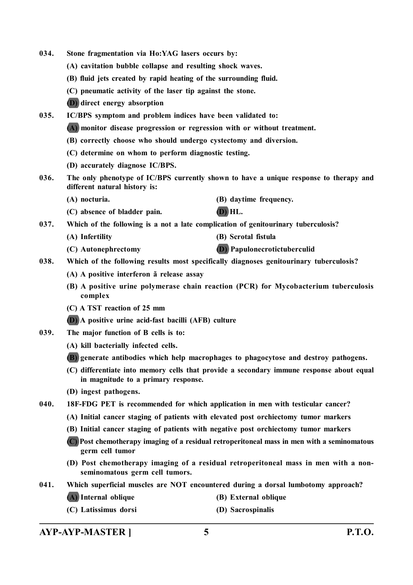- **034. Stone fragmentation via Ho:YAG lasers occurs by:**
	- **(A) cavitation bubble collapse and resulting shock waves.**
	- **(B) fluid jets created by rapid heating of the surrounding fluid.**
	- **(C) pneumatic activity of the laser tip against the stone.**
	- **(D) direct energy absorption**

**035. IC/BPS symptom and problem indices have been validated to:**

- **(A) monitor disease progression or regression with or without treatment.**
- **(B) correctly choose who should undergo cystectomy and diversion.**
- **(C) determine on whom to perform diagnostic testing.**
- **(D) accurately diagnose IC/BPS.**
- **036. The only phenotype of IC/BPS currently shown to have a unique response to therapy and different natural history is:**
	- **(A) nocturia. (B) daytime frequency.**
	- **(C) absence of bladder pain. (D) HL.**

**037. Which of the following is a not a late complication of genitourinary tuberculosis?**

- **(A) Infertility (B) Scrotal fistula**
- **(C) Autonephrectomy (D) Papulonecrotictuberculid**

**038. Which of the following results most specifically diagnoses genitourinary tuberculosis?**

- **(A) A positive interferon ã release assay**
- **(B) A positive urine polymerase chain reaction (PCR) for Mycobacterium tuberculosis complex**
- **(C) A TST reaction of 25 mm**
- **(D) A positive urine acid-fast bacilli (AFB) culture**
- **039. The major function of B cells is to:**
	- **(A) kill bacterially infected cells.**
	- **(B) generate antibodies which help macrophages to phagocytose and destroy pathogens.**
	- **(C) differentiate into memory cells that provide a secondary immune response about equal in magnitude to a primary response.**
	- **(D) ingest pathogens.**
- **040. 18F-FDG PET is recommended for which application in men with testicular cancer?**
	- **(A) Initial cancer staging of patients with elevated post orchiectomy tumor markers**
	- **(B) Initial cancer staging of patients with negative post orchiectomy tumor markers**
	- **(C) Post chemotherapy imaging of a residual retroperitoneal mass in men with a seminomatous germ cell tumor**
	- **(D) Post chemotherapy imaging of a residual retroperitoneal mass in men with a nonseminomatous germ cell tumors.**
- **041. Which superficial muscles are NOT encountered during a dorsal lumbotomy approach?**
	- **(A) Internal oblique (B) External oblique**
		-
	- **(C) Latissimus dorsi (D) Sacrospinalis**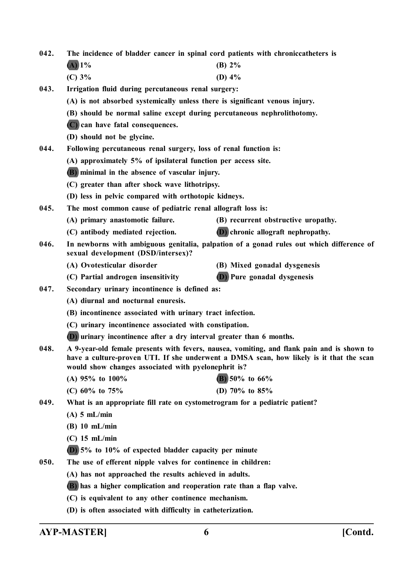- **042. The incidence of bladder cancer in spinal cord patients with chroniccatheters is (A) 1% (B) 2%**
	- **(C) 3% (D) 4%**
- **043. Irrigation fluid during percutaneous renal surgery:**
	- **(A) is not absorbed systemically unless there is significant venous injury.**
	- **(B) should be normal saline except during percutaneous nephrolithotomy.**
	- **(C) can have fatal consequences.**
	- **(D) should not be glycine.**
- **044. Following percutaneous renal surgery, loss of renal function is:**
	- **(A) approximately 5% of ipsilateral function per access site.**
	- **(B) minimal in the absence of vascular injury.**
	- **(C) greater than after shock wave lithotripsy.**
	- **(D) less in pelvic compared with orthotopic kidneys.**
- **045. The most common cause of pediatric renal allograft loss is:**
	- **(A) primary anastomotic failure. (B) recurrent obstructive uropathy.**
	- **(C) antibody mediated rejection. (D) chronic allograft nephropathy.**
- **046. In newborns with ambiguous genitalia, palpation of a gonad rules out which difference of sexual development (DSD/intersex)?**
	-
	- **(A) Ovotesticular disorder (B) Mixed gonadal dysgenesis**
	- **(C) Partial androgen insensitivity (D) Pure gonadal dysgenesis**
- **047. Secondary urinary incontinence is defined as:**
	- **(A) diurnal and nocturnal enuresis.**
	- **(B) incontinence associated with urinary tract infection.**
	- **(C) urinary incontinence associated with constipation.**
	- **(D) urinary incontinence after a dry interval greater than 6 months.**
- **048. A 9-year-old female presents with fevers, nausea, vomiting, and flank pain and is shown to have a culture-proven UTI. If she underwent a DMSA scan, how likely is it that the scan would show changes associated with pyelonephrit is?**
	- **(A) 95% to 100% (B) 50% to 66%**
	- **(C) 60% to 75% (D) 70% to 85%**
- **049. What is an appropriate fill rate on cystometrogram for a pediatric patient?**
	- **(A) 5 mL/min**
	- **(B) 10 mL/min**
	- **(C) 15 mL/min**
	- **(D) 5% to 10% of expected bladder capacity per minute**
- **050. The use of efferent nipple valves for continence in children:**
	- **(A) has not approached the results achieved in adults.**
	- **(B) has a higher complication and reoperation rate than a flap valve.**
	- **(C) is equivalent to any other continence mechanism.**
	- **(D) is often associated with difficulty in catheterization.**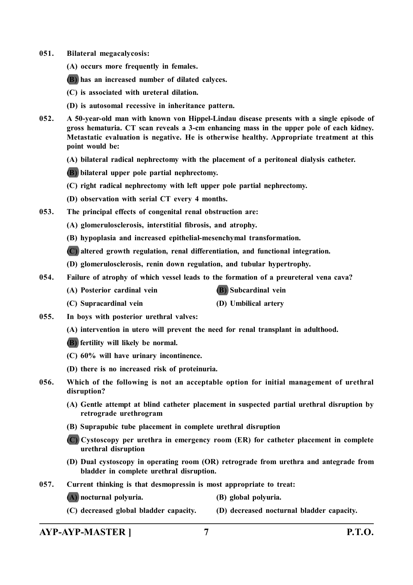**051. Bilateral megacalycosis:**

**(A) occurs more frequently in females.**

**(B) has an increased number of dilated calyces.**

**(C) is associated with ureteral dilation.**

**(D) is autosomal recessive in inheritance pattern.**

- **052. A 50-year-old man with known von Hippel-Lindau disease presents with a single episode of gross hematuria. CT scan reveals a 3-cm enhancing mass in the upper pole of each kidney. Metastatic evaluation is negative. He is otherwise healthy. Appropriate treatment at this point would be:**
	- **(A) bilateral radical nephrectomy with the placement of a peritoneal dialysis catheter.**

**(B) bilateral upper pole partial nephrectomy.**

- **(C) right radical nephrectomy with left upper pole partial nephrectomy.**
- **(D) observation with serial CT every 4 months.**
- **053. The principal effects of congenital renal obstruction are:**
	- **(A) glomerulosclerosis, interstitial fibrosis, and atrophy.**
	- **(B) hypoplasia and increased epithelial-mesenchymal transformation.**
	- **(C) altered growth regulation, renal differentiation, and functional integration.**
	- **(D) glomerulosclerosis, renin down regulation, and tubular hypertrophy.**
- **054. Failure of atrophy of which vessel leads to the formation of a preureteral vena cava?**
	- **(A) Posterior cardinal vein (B) Subcardinal vein**
	- **(C) Supracardinal vein (D) Umbilical artery**
- **055. In boys with posterior urethral valves:**
	- **(A) intervention in utero will prevent the need for renal transplant in adulthood.**
	- **(B) fertility will likely be normal.**
	- **(C) 60% will have urinary incontinence.**
	- **(D) there is no increased risk of proteinuria.**
- **056. Which of the following is not an acceptable option for initial management of urethral disruption?**
	- **(A) Gentle attempt at blind catheter placement in suspected partial urethral disruption by retrograde urethrogram**
	- **(B) Suprapubic tube placement in complete urethral disruption**
	- **(C) Cystoscopy per urethra in emergency room (ER) for catheter placement in complete urethral disruption**
	- **(D) Dual cystoscopy in operating room (OR) retrograde from urethra and antegrade from bladder in complete urethral disruption.**
- **057. Current thinking is that desmopressin is most appropriate to treat:**
	- **(A) nocturnal polyuria. (B) global polyuria.**
	- **(C) decreased global bladder capacity. (D) decreased nocturnal bladder capacity.**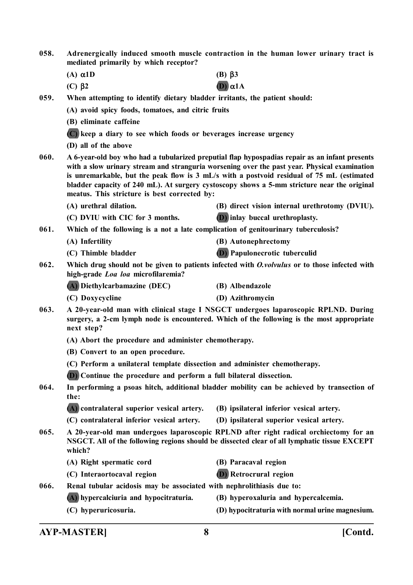- **058. Adrenergically induced smooth muscle contraction in the human lower urinary tract is mediated primarily by which receptor?**
	- **(A)**  $\alpha$ 1D **(B)**  $\beta$ 3
	- **(C)**  $\beta$ 2 **(D)**  $\alpha$ 1A
- **059. When attempting to identify dietary bladder irritants, the patient should:**

**(A) avoid spicy foods, tomatoes, and citric fruits**

- **(B) eliminate caffeine**
- **(C) keep a diary to see which foods or beverages increase urgency**
- **(D) all of the above**
- **060. A 6-year-old boy who had a tubularized preputial flap hypospadias repair as an infant presents with a slow urinary stream and stranguria worsening over the past year. Physical examination is unremarkable, but the peak flow is 3 mL/s with a postvoid residual of 75 mL (estimated bladder capacity of 240 mL). At surgery cystoscopy shows a 5-mm stricture near the original meatus. This stricture is best corrected by:**
	- **(A) urethral dilation. (B) direct vision internal urethrotomy (DVIU).**
	- **(C) DVIU with CIC for 3 months. (D) inlay buccal urethroplasty.**

**061. Which of the following is a not a late complication of genitourinary tuberculosis?**

- **(A) Infertility (B) Autonephrectomy**
	- **(C) Thimble bladder (D) Papulonecrotic tuberculid**
- **062. Which drug should not be given to patients infected with** *O.volvulus* **or to those infected with high-grade** *Loa loa* **microfilaremia?**
	- **(A) Diethylcarbamazine (DEC) (B) Albendazole**
	- **(C) Doxycycline (D) Azithromycin**
- **063. A 20-year-old man with clinical stage I NSGCT undergoes laparoscopic RPLND. During surgery, a 2-cm lymph node is encountered. Which of the following is the most appropriate next step?**
	- **(A) Abort the procedure and administer chemotherapy.**
	- **(B) Convert to an open procedure.**
	- **(C) Perform a unilateral template dissection and administer chemotherapy.**
	- **(D) Continue the procedure and perform a full bilateral dissection.**
- **064. In performing a psoas hitch, additional bladder mobility can be achieved by transection of the:**
	- **(A) contralateral superior vesical artery. (B) ipsilateral inferior vesical artery.**
	- **(C) contralateral inferior vesical artery. (D) ipsilateral superior vesical artery.**
- **065. A 20-year-old man undergoes laparoscopic RPLND after right radical orchiectomy for an NSGCT. All of the following regions should be dissected clear of all lymphatic tissue EXCEPT which?**
	- **(A) Right spermatic cord (B) Paracaval region**
		-
	- **(C) Interaortocaval region (D) Retrocrural region**
- 
- **066. Renal tubular acidosis may be associated with nephrolithiasis due to:**
	-
	- **(A) hypercalciuria and hypocitraturia. (B) hyperoxaluria and hypercalcemia.**
	- **(C) hyperuricosuria. (D) hypocitraturia with normal urine magnesium.**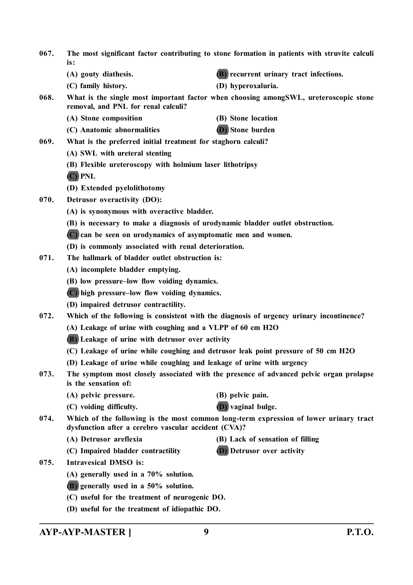| 067. | The most significant factor contributing to stone formation in patients with struvite calculi<br>is:                                          |                                                                                          |  |  |
|------|-----------------------------------------------------------------------------------------------------------------------------------------------|------------------------------------------------------------------------------------------|--|--|
|      | (A) gouty diathesis.                                                                                                                          | <b>(B)</b> recurrent urinary tract infections.                                           |  |  |
|      | (C) family history.                                                                                                                           | (D) hyperoxaluria.                                                                       |  |  |
| 068. | What is the single most important factor when choosing amongSWL, ureteroscopic stone<br>removal, and PNL for renal calculi?                   |                                                                                          |  |  |
|      | (A) Stone composition                                                                                                                         | (B) Stone location                                                                       |  |  |
|      | (C) Anatomic abnormalities                                                                                                                    | (D) Stone burden                                                                         |  |  |
| 069. | What is the preferred initial treatment for staghorn calculi?                                                                                 |                                                                                          |  |  |
|      | (A) SWL with ureteral stenting                                                                                                                |                                                                                          |  |  |
|      | (B) Flexible ureteroscopy with holmium laser lithotripsy                                                                                      |                                                                                          |  |  |
|      | (C) PNL                                                                                                                                       |                                                                                          |  |  |
|      | (D) Extended pyelolithotomy                                                                                                                   |                                                                                          |  |  |
| 070. | Detrusor overactivity (DO):                                                                                                                   |                                                                                          |  |  |
|      | (A) is synonymous with overactive bladder.                                                                                                    |                                                                                          |  |  |
|      | (B) is necessary to make a diagnosis of urodynamic bladder outlet obstruction.                                                                |                                                                                          |  |  |
|      | (C) can be seen on urodynamics of asymptomatic men and women.                                                                                 |                                                                                          |  |  |
|      | (D) is commonly associated with renal deterioration.                                                                                          |                                                                                          |  |  |
| 071. | The hallmark of bladder outlet obstruction is:                                                                                                |                                                                                          |  |  |
|      | (A) incomplete bladder emptying.                                                                                                              |                                                                                          |  |  |
|      | (B) low pressure-low flow voiding dynamics.                                                                                                   |                                                                                          |  |  |
|      | (C) high pressure–low flow voiding dynamics.                                                                                                  |                                                                                          |  |  |
|      | (D) impaired detrusor contractility.                                                                                                          |                                                                                          |  |  |
| 072. |                                                                                                                                               | Which of the following is consistent with the diagnosis of urgency urinary incontinence? |  |  |
|      | (A) Leakage of urine with coughing and a VLPP of 60 cm H2O                                                                                    |                                                                                          |  |  |
|      | (B) Leakage of urine with detrusor over activity                                                                                              |                                                                                          |  |  |
|      | (C) Leakage of urine while coughing and detrusor leak point pressure of 50 cm H2O                                                             |                                                                                          |  |  |
|      | (D) Leakage of urine while coughing and leakage of urine with urgency                                                                         |                                                                                          |  |  |
| 073. | is the sensation of:                                                                                                                          | The symptom most closely associated with the presence of advanced pelvic organ prolapse  |  |  |
|      | (A) pelvic pressure.                                                                                                                          | (B) pelvic pain.                                                                         |  |  |
|      | (C) voiding difficulty.                                                                                                                       | <b>D</b> ) vaginal bulge.                                                                |  |  |
| 074. | Which of the following is the most common long-term expression of lower urinary tract<br>dysfunction after a cerebro vascular accident (CVA)? |                                                                                          |  |  |
|      | (A) Detrusor areflexia                                                                                                                        | (B) Lack of sensation of filling                                                         |  |  |
|      | (C) Impaired bladder contractility                                                                                                            | <b>D</b> ) Detrusor over activity                                                        |  |  |
| 075. | <b>Intravesical DMSO</b> is:                                                                                                                  |                                                                                          |  |  |
|      | $(A)$ generally used in a 70% solution.                                                                                                       |                                                                                          |  |  |
|      | (B) generally used in a 50% solution.                                                                                                         |                                                                                          |  |  |
|      | (C) useful for the treatment of neurogenic DO.                                                                                                |                                                                                          |  |  |
|      | (D) useful for the treatment of idiopathic DO.                                                                                                |                                                                                          |  |  |

**AYP-AYP-MASTER ] 9 P.T.O.**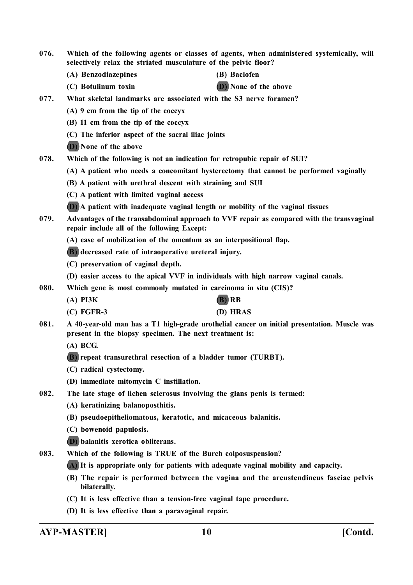- **076. Which of the following agents or classes of agents, when administered systemically, will selectively relax the striated musculature of the pelvic floor?**
	- **(A) Benzodiazepines (B) Baclofen**
- - **(C) Botulinum toxin (D) None of the above**
- **077. What skeletal landmarks are associated with the S3 nerve foramen?**
	- **(A) 9 cm from the tip of the coccyx**
	- **(B) 11 cm from the tip of the coccyx**
	- **(C) The inferior aspect of the sacral iliac joints**
	- **(D) None of the above**
- **078. Which of the following is not an indication for retropubic repair of SUI?**
	- **(A) A patient who needs a concomitant hysterectomy that cannot be performed vaginally**
	- **(B) A patient with urethral descent with straining and SUI**
	- **(C) A patient with limited vaginal access**
	- **(D) A patient with inadequate vaginal length or mobility of the vaginal tissues**
- **079. Advantages of the transabdominal approach to VVF repair as compared with the transvaginal repair include all of the following Except:**
	- **(A) ease of mobilization of the omentum as an interpositional flap.**
	- **(B) decreased rate of intraoperative ureteral injury.**
	- **(C) preservation of vaginal depth.**
	- **(D) easier access to the apical VVF in individuals with high narrow vaginal canals.**
- **080. Which gene is most commonly mutated in carcinoma in situ (CIS)?**
	- **(A) PI3K (B) RB**
	- **(C) FGFR-3 (D) HRAS**
- **081. A 40-year-old man has a T1 high-grade urothelial cancer on initial presentation. Muscle was present in the biopsy specimen. The next treatment is:**
	- **(A) BCG.**
	- **(B) repeat transurethral resection of a bladder tumor (TURBT).**
	- **(C) radical cystectomy.**
	- **(D) immediate mitomycin C instillation.**
- **082. The late stage of lichen sclerosus involving the glans penis is termed:**
	- **(A) keratinizing balanoposthitis.**
	- **(B) pseudoepitheliomatous, keratotic, and micaceous balanitis.**
	- **(C) bowenoid papulosis.**
	- **(D) balanitis xerotica obliterans.**
- **083. Which of the following is TRUE of the Burch colposuspension?**

**(A) It is appropriate only for patients with adequate vaginal mobility and capacity.**

- **(B) The repair is performed between the vagina and the arcustendineus fasciae pelvis bilaterally.**
- **(C) It is less effective than a tension-free vaginal tape procedure.**
- **(D) It is less effective than a paravaginal repair.**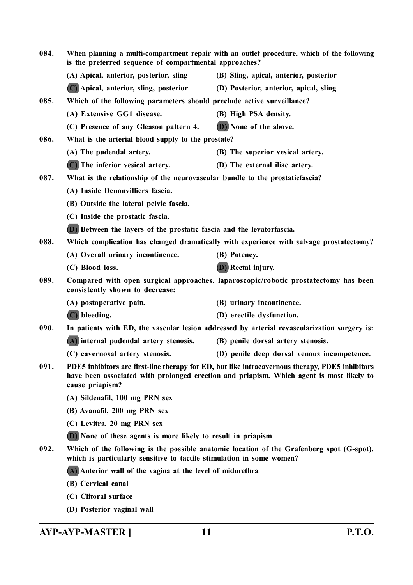| 084.<br>When planning a multi-compartment repair with an outlet procedure, which of the following<br>is the preferred sequence of compartmental approaches? |                                                                                                                                                                                                                |                                                                                         |  |
|-------------------------------------------------------------------------------------------------------------------------------------------------------------|----------------------------------------------------------------------------------------------------------------------------------------------------------------------------------------------------------------|-----------------------------------------------------------------------------------------|--|
|                                                                                                                                                             | (A) Apical, anterior, posterior, sling                                                                                                                                                                         | (B) Sling, apical, anterior, posterior                                                  |  |
|                                                                                                                                                             | (C) Apical, anterior, sling, posterior                                                                                                                                                                         | (D) Posterior, anterior, apical, sling                                                  |  |
| 085.                                                                                                                                                        | Which of the following parameters should preclude active surveillance?                                                                                                                                         |                                                                                         |  |
|                                                                                                                                                             | (A) Extensive GG1 disease.                                                                                                                                                                                     | (B) High PSA density.                                                                   |  |
|                                                                                                                                                             | (C) Presence of any Gleason pattern 4.                                                                                                                                                                         | (D) None of the above.                                                                  |  |
| 086.                                                                                                                                                        | What is the arterial blood supply to the prostate?                                                                                                                                                             |                                                                                         |  |
|                                                                                                                                                             | (A) The pudendal artery.                                                                                                                                                                                       | (B) The superior vesical artery.                                                        |  |
|                                                                                                                                                             | (C) The inferior vesical artery.                                                                                                                                                                               | (D) The external iliac artery.                                                          |  |
| 087.                                                                                                                                                        | What is the relationship of the neurovascular bundle to the prostaticfascia?                                                                                                                                   |                                                                                         |  |
|                                                                                                                                                             | (A) Inside Denonvilliers fascia.                                                                                                                                                                               |                                                                                         |  |
|                                                                                                                                                             | (B) Outside the lateral pelvic fascia.                                                                                                                                                                         |                                                                                         |  |
|                                                                                                                                                             | (C) Inside the prostatic fascia.                                                                                                                                                                               |                                                                                         |  |
|                                                                                                                                                             | <b>(D)</b> Between the layers of the prostatic fascia and the levatorfascia.                                                                                                                                   |                                                                                         |  |
| 088.                                                                                                                                                        |                                                                                                                                                                                                                | Which complication has changed dramatically with experience with salvage prostatectomy? |  |
|                                                                                                                                                             | (A) Overall urinary incontinence.                                                                                                                                                                              | (B) Potency.                                                                            |  |
|                                                                                                                                                             | (C) Blood loss.                                                                                                                                                                                                | <b>(D)</b> Rectal injury.                                                               |  |
| 089.                                                                                                                                                        | Compared with open surgical approaches, laparoscopic/robotic prostatectomy has been<br>consistently shown to decrease:                                                                                         |                                                                                         |  |
|                                                                                                                                                             | (A) postoperative pain.                                                                                                                                                                                        | (B) urinary incontinence.                                                               |  |
|                                                                                                                                                             | $(C)$ bleeding.                                                                                                                                                                                                | (D) erectile dysfunction.                                                               |  |
| 090.                                                                                                                                                        | In patients with ED, the vascular lesion addressed by arterial revascularization surgery is:                                                                                                                   |                                                                                         |  |
|                                                                                                                                                             | (A) internal pudendal artery stenosis.                                                                                                                                                                         | (B) penile dorsal artery stenosis.                                                      |  |
|                                                                                                                                                             | (C) cavernosal artery stenosis.                                                                                                                                                                                | (D) penile deep dorsal venous incompetence.                                             |  |
| 091.                                                                                                                                                        | PDE5 inhibitors are first-line therapy for ED, but like intracavernous therapy, PDE5 inhibitors<br>have been associated with prolonged erection and priapism. Which agent is most likely to<br>cause priapism? |                                                                                         |  |
|                                                                                                                                                             | (A) Sildenafil, 100 mg PRN sex                                                                                                                                                                                 |                                                                                         |  |
|                                                                                                                                                             | (B) Avanafil, 200 mg PRN sex                                                                                                                                                                                   |                                                                                         |  |
|                                                                                                                                                             | (C) Levitra, 20 mg PRN sex                                                                                                                                                                                     |                                                                                         |  |
|                                                                                                                                                             | <b>(D)</b> None of these agents is more likely to result in priapism                                                                                                                                           |                                                                                         |  |
| 092.                                                                                                                                                        | Which of the following is the possible anatomic location of the Grafenberg spot (G-spot),<br>which is particularly sensitive to tactile stimulation in some women?                                             |                                                                                         |  |
|                                                                                                                                                             | (A) Anterior wall of the vagina at the level of midurethra                                                                                                                                                     |                                                                                         |  |
|                                                                                                                                                             | (B) Cervical canal                                                                                                                                                                                             |                                                                                         |  |
|                                                                                                                                                             | (C) Clitoral surface                                                                                                                                                                                           |                                                                                         |  |
|                                                                                                                                                             | (D) Posterior vaginal wall                                                                                                                                                                                     |                                                                                         |  |

**AYP-AYP-MASTER ] 11 P.T.O.**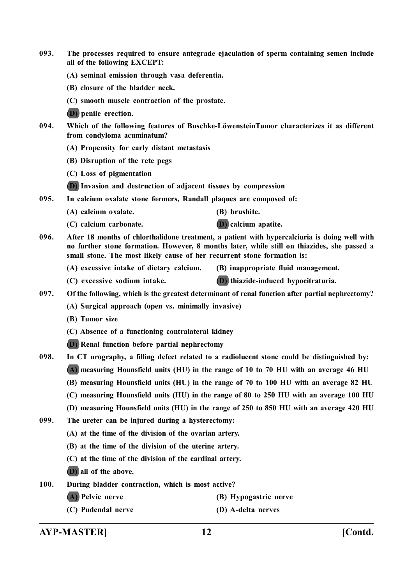- **093. The processes required to ensure antegrade ejaculation of sperm containing semen include all of the following EXCEPT:**
	- **(A) seminal emission through vasa deferentia.**
	- **(B) closure of the bladder neck.**
	- **(C) smooth muscle contraction of the prostate.**
	- **(D) penile erection.**
- **094. Which of the following features of Buschke-LöwensteinTumor characterizes it as different from condyloma acuminatum?**
	- **(A) Propensity for early distant metastasis**
	- **(B) Disruption of the rete pegs**
	- **(C) Loss of pigmentation**
	- **(D) Invasion and destruction of adjacent tissues by compression**
- **095. In calcium oxalate stone formers, Randall plaques are composed of:**
	- **(A) calcium oxalate. (B) brushite.**
	- **(C) calcium carbonate. (D) calcium apatite.**
- 
- **096. After 18 months of chlorthalidone treatment, a patient with hypercalciuria is doing well with no further stone formation. However, 8 months later, while still on thiazides, she passed a small stone. The most likely cause of her recurrent stone formation is:**
	- **(A) excessive intake of dietary calcium. (B) inappropriate fluid management.**
	- **(C) excessive sodium intake. (D) thiazide-induced hypocitraturia.**
- **097. Of the following, which is the greatest determinant of renal function after partial nephrectomy?**
	- **(A) Surgical approach (open vs. minimally invasive)**
	- **(B) Tumor size**
	- **(C) Absence of a functioning contralateral kidney**
	- **(D) Renal function before partial nephrectomy**
- **098. In CT urography, a filling defect related to a radiolucent stone could be distinguished by: (A) measuring Hounsfield units (HU) in the range of 10 to 70 HU with an average 46 HU**
	- **(B) measuring Hounsfield units (HU) in the range of 70 to 100 HU with an average 82 HU**
	- **(C) measuring Hounsfield units (HU) in the range of 80 to 250 HU with an average 100 HU**
	- **(D) measuring Hounsfield units (HU) in the range of 250 to 850 HU with an average 420 HU**
- **099. The ureter can be injured during a hysterectomy:**
	- **(A) at the time of the division of the ovarian artery.**
	- **(B) at the time of the division of the uterine artery.**
	- **(C) at the time of the division of the cardinal artery.**
	- **(D) all of the above.**
- **100. During bladder contraction, which is most active?**
	- **(A) Pelvic nerve (B) Hypogastric nerve**
		-
	- **(C) Pudendal nerve (D) A-delta nerves**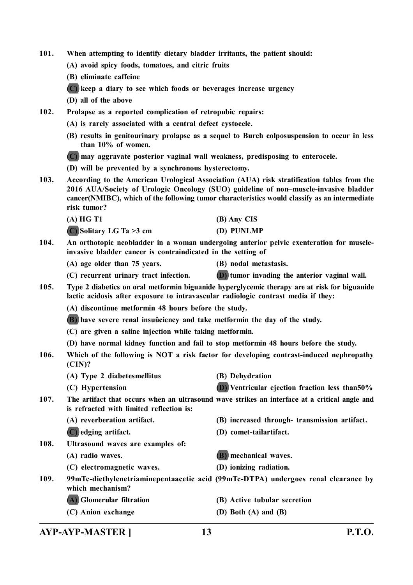- **101. When attempting to identify dietary bladder irritants, the patient should:**
	- **(A) avoid spicy foods, tomatoes, and citric fruits**
	- **(B) eliminate caffeine**
	- **(C) keep a diary to see which foods or beverages increase urgency**
	- **(D) all of the above**
- **102. Prolapse as a reported complication of retropubic repairs:**
	- **(A) is rarely associated with a central defect cystocele.**
	- **(B) results in genitourinary prolapse as a sequel to Burch colposuspension to occur in less than 10% of women.**
	- **(C) may aggravate posterior vaginal wall weakness, predisposing to enterocele.**
	- **(D) will be prevented by a synchronous hysterectomy.**
- **103. According to the American Urological Association (AUA) risk stratification tables from the 2016 AUA/Society of Urologic Oncology (SUO) guideline of non–muscle-invasive bladder cancer(NMIBC), which of the following tumor characteristics would classify as an intermediate risk tumor?**
	- **(A) HG T1 (B) Any CIS**
	- **(C) Solitary LG Ta >3 cm (D) PUNLMP**
- **104. An orthotopic neobladder in a woman undergoing anterior pelvic exenteration for muscleinvasive bladder cancer is contraindicated in the setting of**
	- **(A) age older than 75 years. (B) nodal metastasis.**
	- **(C) recurrent urinary tract infection. (D) tumor invading the anterior vaginal wall.**
- **105. Type 2 diabetics on oral metformin biguanide hyperglycemic therapy are at risk for biguanide lactic acidosis after exposure to intravascular radiologic contrast media if they:**
	- **(A) discontinue metformin 48 hours before the study.**
	- **(B) have severe renal insuûciency and take metformin the day of the study.**
	- **(C) are given a saline injection while taking metformin.**
	- **(D) have normal kidney function and fail to stop metformin 48 hours before the study.**
- **106. Which of the following is NOT a risk factor for developing contrast-induced nephropathy (CIN)?**
	- **(A) Type 2 diabetesmellitus (B) Dehydration**
		-

- 
- **(C) Hypertension (D) Ventricular ejection fraction less than50%**
- **107. The artifact that occurs when an ultrasound wave strikes an interface at a critical angle and is refracted with limited reflection is:**
	- -
	- **(A) reverberation artifact. (B) increased through- transmission artifact.**
	- **(C) edging artifact. (D) comet-tailartifact.**
- **108. Ultrasound waves are examples of:**
	- **(A) radio waves. (B) mechanical waves.**
	- **(C) electromagnetic waves. (D) ionizing radiation.**
- 
- **109. 99mTc-diethylenetriaminepentaacetic acid (99mTc-DTPA) undergoes renal clearance by which mechanism?**
	- **(A) Glomerular filtration (B) Active tubular secretion**
		-
	- **(C) Anion exchange (D) Both (A) and (B)**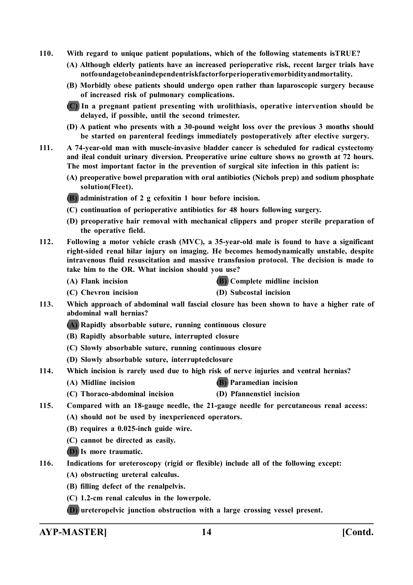- **110. With regard to unique patient populations, which of the following statements isTRUE?**
	- **(A) Although elderly patients have an increased perioperative risk, recent larger trials have notfoundagetobeanindependentriskfactorforperioperativemorbidityandmortality.**
	- **(B) Morbidly obese patients should undergo open rather than laparoscopic surgery because of increased risk of pulmonary complications.**

**(C) In a pregnant patient presenting with urolithiasis, operative intervention should be delayed, if possible, until the second trimester.**

- **(D) A patient who presents with a 30-pound weight loss over the previous 3 months should be started on parenteral feedings immediately postoperatively after elective surgery.**
- **111. A 74-year-old man with muscle-invasive bladder cancer is scheduled for radical cystectomy and ileal conduit urinary diversion. Preoperative urine culture shows no growth at 72 hours. The most important factor in the prevention of surgical site infection in this patient is:**
	- **(A) preoperative bowel preparation with oral antibiotics (Nichols prep) and sodium phosphate solution(Fleet).**

**(B) administration of 2 g cefoxitin 1 hour before incision.**

- **(C) continuation of perioperative antibiotics for 48 hours following surgery.**
- **(D) preoperative hair removal with mechanical clippers and proper sterile preparation of the operative field.**
- **112. Following a motor vehicle crash (MVC), a 35-year-old male is found to have a significant right-sided renal hilar injury on imaging. He becomes hemodynamically unstable, despite intravenous fluid resuscitation and massive transfusion protocol. The decision is made to take him to the OR. What incision should you use?**
	-

**(A) Flank incision (B) Complete midline incision**

- **(C) Chevron incision (D) Subcostal incision**
- **113. Which approach of abdominal wall fascial closure has been shown to have a higher rate of abdominal wall hernias?**
	- **(A) Rapidly absorbable suture, running continuous closure**
	- **(B) Rapidly absorbable suture, interrupted closure**
	- **(C) Slowly absorbable suture, running continuous closure**
	- **(D) Slowly absorbable suture, interruptedclosure**
- **114. Which incision is rarely used due to high risk of nerve injuries and ventral hernias?**
	- **(A) Midline incision (B) Paramedian incision**
	- **(C) Thoraco-abdominal incision (D) Pfannenstiel incision**
- **115. Compared with an 18-gauge needle, the 21-gauge needle for percutaneous renal access:**
	- **(A) should not be used by inexperienced operators.**
	- **(B) requires a 0.025-inch guide wire.**
	- **(C) cannot be directed as easily.**
	- **(D) Is more traumatic.**

**116. Indications for ureteroscopy (rigid or flexible) include all of the following except:**

- **(A) obstructing ureteral calculus.**
- **(B) filling defect of the renalpelvis.**
- **(C) 1.2-cm renal calculus in the lowerpole.**
- **(D) ureteropelvic junction obstruction with a large crossing vessel present.**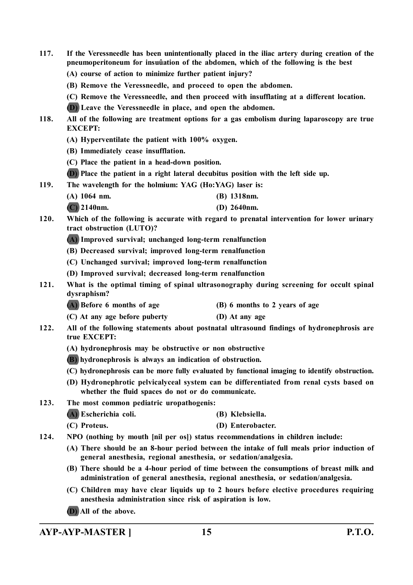- **117. If the Veressneedle has been unintentionally placed in the iliac artery during creation of the pneumoperitoneum for insuûation of the abdomen, which of the following is the best**
	- **(A) course of action to minimize further patient injury?**
	- **(B) Remove the Veressneedle, and proceed to open the abdomen.**
	- **(C) Remove the Veressneedle, and then proceed with insufflating at a different location.**
	- **(D) Leave the Veressneedle in place, and open the abdomen.**
- **118. All of the following are treatment options for a gas embolism during laparoscopy are true EXCEPT:**
	- **(A) Hyperventilate the patient with 100% oxygen.**
	- **(B) Immediately cease insufflation.**
	- **(C) Place the patient in a head-down position.**
	- **(D) Place the patient in a right lateral decubitus position with the left side up.**
- **119. The wavelength for the holmium: YAG (Ho:YAG) laser is:**
	- **(A) 1064 nm. (B) 1318nm.**
	- **(C) 2140nm. (D) 2640nm.**
- **120. Which of the following is accurate with regard to prenatal intervention for lower urinary tract obstruction (LUTO)?**
	- **(A) Improved survival; unchanged long-term renalfunction**
	- **(B) Decreased survival; improved long-term renalfunction**
	- **(C) Unchanged survival; improved long-term renalfunction**
	- **(D) Improved survival; decreased long-term renalfunction**
- **121. What is the optimal timing of spinal ultrasonography during screening for occult spinal dysraphism?**
	- **(A) Before 6 months of age (B) 6 months to 2 years of age**
	- **(C) At any age before puberty (D) At any age**
- **122. All of the following statements about postnatal ultrasound findings of hydronephrosis are true EXCEPT:**
	- **(A) hydronephrosis may be obstructive or non obstructive**
	- **(B) hydronephrosis is always an indication of obstruction.**
	- **(C) hydronephrosis can be more fully evaluated by functional imaging to identify obstruction.**
	- **(D) Hydronephrotic pelvicalyceal system can be differentiated from renal cysts based on whether the fluid spaces do not or do communicate.**
- **123. The most common pediatric uropathogenis:**
	- **(A) Escherichia coli. (B) Klebsiella.**
	- **(C) Proteus. (D) Enterobacter.**
- **124. NPO (nothing by mouth [nil per os]) status recommendations in children include:**
	- **(A) There should be an 8-hour period between the intake of full meals prior induction of general anesthesia, regional anesthesia, or sedation/analgesia.**
	- **(B) There should be a 4-hour period of time between the consumptions of breast milk and administration of general anesthesia, regional anesthesia, or sedation/analgesia.**
	- **(C) Children may have clear liquids up to 2 hours before elective procedures requiring anesthesia administration since risk of aspiration is low.**
	- **(D) All of the above.**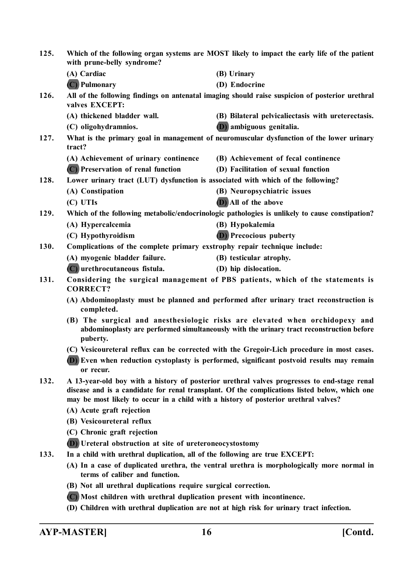| 125.                                                                                                                                                                                                                                                                                                                                                                                      | Which of the following organ systems are MOST likely to impact the early life of the patient<br>with prune-belly syndrome? |                                                                                                 |  |  |
|-------------------------------------------------------------------------------------------------------------------------------------------------------------------------------------------------------------------------------------------------------------------------------------------------------------------------------------------------------------------------------------------|----------------------------------------------------------------------------------------------------------------------------|-------------------------------------------------------------------------------------------------|--|--|
|                                                                                                                                                                                                                                                                                                                                                                                           | (A) Cardiac                                                                                                                | (B) Urinary                                                                                     |  |  |
|                                                                                                                                                                                                                                                                                                                                                                                           | (C) Pulmonary                                                                                                              | (D) Endocrine                                                                                   |  |  |
| 126.                                                                                                                                                                                                                                                                                                                                                                                      | valves EXCEPT:                                                                                                             | All of the following findings on antenatal imaging should raise suspicion of posterior urethral |  |  |
|                                                                                                                                                                                                                                                                                                                                                                                           | (A) thickened bladder wall.                                                                                                | (B) Bilateral pelvicaliectasis with ureterectasis.                                              |  |  |
|                                                                                                                                                                                                                                                                                                                                                                                           | (C) oligohydramnios.                                                                                                       | <b>(D)</b> ambiguous genitalia.                                                                 |  |  |
| 127.                                                                                                                                                                                                                                                                                                                                                                                      | What is the primary goal in management of neuromuscular dysfunction of the lower urinary<br>tract?                         |                                                                                                 |  |  |
|                                                                                                                                                                                                                                                                                                                                                                                           | (A) Achievement of urinary continence                                                                                      | (B) Achievement of fecal continence                                                             |  |  |
|                                                                                                                                                                                                                                                                                                                                                                                           | (C) Preservation of renal function                                                                                         | (D) Facilitation of sexual function                                                             |  |  |
| 128.                                                                                                                                                                                                                                                                                                                                                                                      | Lower urinary tract (LUT) dysfunction is associated with which of the following?                                           |                                                                                                 |  |  |
|                                                                                                                                                                                                                                                                                                                                                                                           | (A) Constipation                                                                                                           | (B) Neuropsychiatric issues                                                                     |  |  |
|                                                                                                                                                                                                                                                                                                                                                                                           | (C) UTIs                                                                                                                   | (D) All of the above                                                                            |  |  |
| 129.                                                                                                                                                                                                                                                                                                                                                                                      |                                                                                                                            | Which of the following metabolic/endocrinologic pathologies is unlikely to cause constipation?  |  |  |
|                                                                                                                                                                                                                                                                                                                                                                                           | (A) Hypercalcemia                                                                                                          | (B) Hypokalemia                                                                                 |  |  |
|                                                                                                                                                                                                                                                                                                                                                                                           | (C) Hypothyroidism                                                                                                         | <b>(D)</b> Precocious puberty                                                                   |  |  |
| 130.                                                                                                                                                                                                                                                                                                                                                                                      | Complications of the complete primary exstrophy repair technique include:                                                  |                                                                                                 |  |  |
|                                                                                                                                                                                                                                                                                                                                                                                           | (A) myogenic bladder failure.                                                                                              | (B) testicular atrophy.                                                                         |  |  |
|                                                                                                                                                                                                                                                                                                                                                                                           | (C) urethrocutaneous fistula.                                                                                              | (D) hip dislocation.                                                                            |  |  |
| 131.                                                                                                                                                                                                                                                                                                                                                                                      | Considering the surgical management of PBS patients, which of the statements is<br><b>CORRECT?</b>                         |                                                                                                 |  |  |
| (A) Abdominoplasty must be planned and performed after urinary tract reconstruction is<br>completed.<br>(B) The surgical and anesthesiologic risks are elevated when orchidopexy and<br>abdominoplasty are performed simultaneously with the urinary tract reconstruction before<br>puberty.<br>(C) Vesicoureteral reflux can be corrected with the Gregoir-Lich procedure in most cases. |                                                                                                                            |                                                                                                 |  |  |
|                                                                                                                                                                                                                                                                                                                                                                                           |                                                                                                                            |                                                                                                 |  |  |
|                                                                                                                                                                                                                                                                                                                                                                                           |                                                                                                                            |                                                                                                 |  |  |
|                                                                                                                                                                                                                                                                                                                                                                                           | or recur.                                                                                                                  | (D) Even when reduction cystoplasty is performed, significant postvoid results may remain       |  |  |
| 132.<br>A 13-year-old boy with a history of posterior urethral valves progresses to end-stage renal<br>disease and is a candidate for renal transplant. Of the complications listed below, which one<br>may be most likely to occur in a child with a history of posterior urethral valves?                                                                                               |                                                                                                                            |                                                                                                 |  |  |
|                                                                                                                                                                                                                                                                                                                                                                                           | (A) Acute graft rejection                                                                                                  |                                                                                                 |  |  |
|                                                                                                                                                                                                                                                                                                                                                                                           | (B) Vesicoureteral reflux                                                                                                  |                                                                                                 |  |  |
|                                                                                                                                                                                                                                                                                                                                                                                           | (C) Chronic graft rejection                                                                                                |                                                                                                 |  |  |
|                                                                                                                                                                                                                                                                                                                                                                                           | (D) Ureteral obstruction at site of ureteroneocystostomy                                                                   |                                                                                                 |  |  |
| 133.                                                                                                                                                                                                                                                                                                                                                                                      | In a child with urethral duplication, all of the following are true EXCEPT:                                                |                                                                                                 |  |  |
|                                                                                                                                                                                                                                                                                                                                                                                           | terms of caliber and function.                                                                                             | (A) In a case of duplicated urethra, the ventral urethra is morphologically more normal in      |  |  |
|                                                                                                                                                                                                                                                                                                                                                                                           | (B) Not all urethral duplications require surgical correction.                                                             |                                                                                                 |  |  |
|                                                                                                                                                                                                                                                                                                                                                                                           | (C) Most children with urethral duplication present with incontinence.                                                     |                                                                                                 |  |  |

**(D) Children with urethral duplication are not at high risk for urinary tract infection.**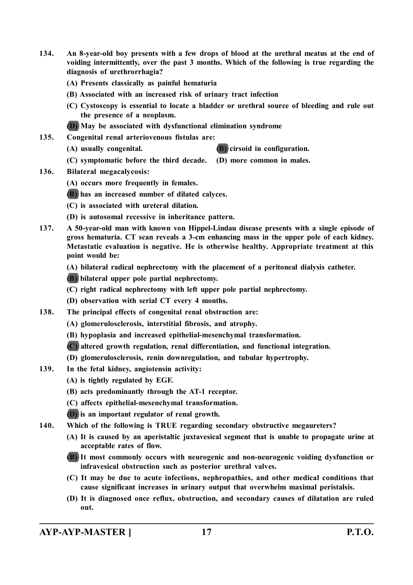- **134. An 8-year-old boy presents with a few drops of blood at the urethral meatus at the end of voiding intermittently, over the past 3 months. Which of the following is true regarding the diagnosis of urethrorrhagia?**
	- **(A) Presents classically as painful hematuria**
	- **(B) Associated with an increased risk of urinary tract infection**
	- **(C) Cystoscopy is essential to locate a bladder or urethral source of bleeding and rule out the presence of a neoplasm.**
	- **(D) May be associated with dysfunctional elimination syndrome**
- **135. Congenital renal arteriovenous fistulas are:**
	- **(A) usually congenital. (B) cirsoid in configuration.**
	- **(C) symptomatic before the third decade. (D) more common in males.**
- **136. Bilateral megacalycosis:**
	- **(A) occurs more frequently in females.**
	- **(B) has an increased number of dilated calyces.**
	- **(C) is associated with ureteral dilation.**
	- **(D) is autosomal recessive in inheritance pattern.**
- **137. A 50-year-old man with known von Hippel-Lindau disease presents with a single episode of gross hematuria. CT scan reveals a 3-cm enhancing mass in the upper pole of each kidney. Metastatic evaluation is negative. He is otherwise healthy. Appropriate treatment at this point would be:**
	- **(A) bilateral radical nephrectomy with the placement of a peritoneal dialysis catheter.**

**(B) bilateral upper pole partial nephrectomy.**

- **(C) right radical nephrectomy with left upper pole partial nephrectomy.**
- **(D) observation with serial CT every 4 months.**
- **138. The principal effects of congenital renal obstruction are:**
	- **(A) glomerulosclerosis, interstitial fibrosis, and atrophy.**
	- **(B) hypoplasia and increased epithelial-mesenchymal transformation.**
	- **(C) altered growth regulation, renal differentiation, and functional integration.**
	- **(D) glomerulosclerosis, renin downregulation, and tubular hypertrophy.**
- **139. In the fetal kidney, angiotensin activity:**
	- **(A) is tightly regulated by EGF.**
	- **(B) acts predominantly through the AT-1 receptor.**
	- **(C) affects epithelial-mesenchymal transformation.**
	- **(D) is an important regulator of renal growth.**
- **140. Which of the following is TRUE regarding secondary obstructive megaureters?**
	- **(A) It is caused by an aperistaltic juxtavesical segment that is unable to propagate urine at acceptable rates of flow.**
	- **(B) It most commonly occurs with neurogenic and non-neurogenic voiding dysfunction or infravesical obstruction such as posterior urethral valves.**
	- **(C) It may be due to acute infections, nephropathies, and other medical conditions that cause significant increases in urinary output that overwhelm maximal peristalsis.**
	- **(D) It is diagnosed once reflux, obstruction, and secondary causes of dilatation are ruled out.**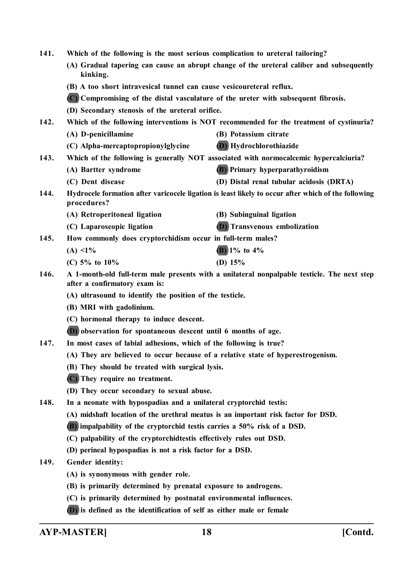| 141.                                                                        | Which of the following is the most serious complication to ureteral tailoring?                                     |                                                                                             |  |
|-----------------------------------------------------------------------------|--------------------------------------------------------------------------------------------------------------------|---------------------------------------------------------------------------------------------|--|
|                                                                             | (A) Gradual tapering can cause an abrupt change of the ureteral caliber and subsequently<br>kinking.               |                                                                                             |  |
|                                                                             | (B) A too short intravesical tunnel can cause vesicoureteral reflux.                                               |                                                                                             |  |
|                                                                             | (C) Compromising of the distal vasculature of the ureter with subsequent fibrosis.                                 |                                                                                             |  |
|                                                                             | (D) Secondary stenosis of the ureteral orifice.                                                                    |                                                                                             |  |
| 142.                                                                        | Which of the following interventions is NOT recommended for the treatment of cystinuria?                           |                                                                                             |  |
|                                                                             | (A) D-penicillamine                                                                                                | (B) Potassium citrate                                                                       |  |
|                                                                             | (C) Alpha-mercaptopropionylglycine                                                                                 | (D) Hydrochlorothiazide                                                                     |  |
| 143.                                                                        |                                                                                                                    | Which of the following is generally NOT associated with normocalcemic hypercalciuria?       |  |
|                                                                             | (A) Bartter syndrome                                                                                               | <b>(B)</b> Primary hyperparathyroidism                                                      |  |
|                                                                             | (C) Dent disease                                                                                                   | (D) Distal renal tubular acidosis (DRTA)                                                    |  |
| 144.                                                                        | Hydrocele formation after varicocele ligation is least likely to occur after which of the following<br>procedures? |                                                                                             |  |
|                                                                             | (A) Retroperitoneal ligation                                                                                       | (B) Subinguinal ligation                                                                    |  |
|                                                                             | (C) Laparoscopic ligation                                                                                          | <b>(D)</b> Transvenous embolization                                                         |  |
| 145.                                                                        | How commonly does cryptorchidism occur in full-term males?                                                         |                                                                                             |  |
|                                                                             | $(A) < 1\%$                                                                                                        | $(B)$ 1% to 4%                                                                              |  |
|                                                                             | (C) $5\%$ to $10\%$                                                                                                | (D) $15%$                                                                                   |  |
| 146.                                                                        | after a confirmatory exam is:                                                                                      | A 1-month-old full-term male presents with a unilateral nonpalpable testicle. The next step |  |
|                                                                             | (A) ultrasound to identify the position of the testicle.<br>(B) MRI with gadolinium.                               |                                                                                             |  |
|                                                                             |                                                                                                                    |                                                                                             |  |
|                                                                             | (C) hormonal therapy to induce descent.                                                                            |                                                                                             |  |
|                                                                             | (D) observation for spontaneous descent until 6 months of age.                                                     |                                                                                             |  |
| 147.                                                                        | In most cases of labial adhesions, which of the following is true?                                                 |                                                                                             |  |
|                                                                             | (A) They are believed to occur because of a relative state of hyperestrogenism.                                    |                                                                                             |  |
|                                                                             | (B) They should be treated with surgical lysis.                                                                    |                                                                                             |  |
| (C) They require no treatment.<br>(D) They occur secondary to sexual abuse. |                                                                                                                    |                                                                                             |  |
|                                                                             |                                                                                                                    |                                                                                             |  |
| 148.                                                                        | In a neonate with hypospadias and a unilateral cryptorchid testis:                                                 |                                                                                             |  |
|                                                                             | (A) midshaft location of the urethral meatus is an important risk factor for DSD.                                  |                                                                                             |  |
|                                                                             | (B) impalpability of the cryptorchid testis carries a 50% risk of a DSD.                                           |                                                                                             |  |
|                                                                             | (C) palpability of the cryptorchidtestis effectively rules out DSD.                                                |                                                                                             |  |
|                                                                             | (D) perineal hypospadias is not a risk factor for a DSD.                                                           |                                                                                             |  |
| 149.                                                                        | <b>Gender identity:</b>                                                                                            |                                                                                             |  |
|                                                                             | (A) is synonymous with gender role.                                                                                |                                                                                             |  |
|                                                                             | (B) is primarily determined by prenatal exposure to androgens.                                                     |                                                                                             |  |
|                                                                             | (C) is primarily determined by postnatal environmental influences.                                                 |                                                                                             |  |
|                                                                             | (D) is defined as the identification of self as either male or female                                              |                                                                                             |  |
|                                                                             |                                                                                                                    |                                                                                             |  |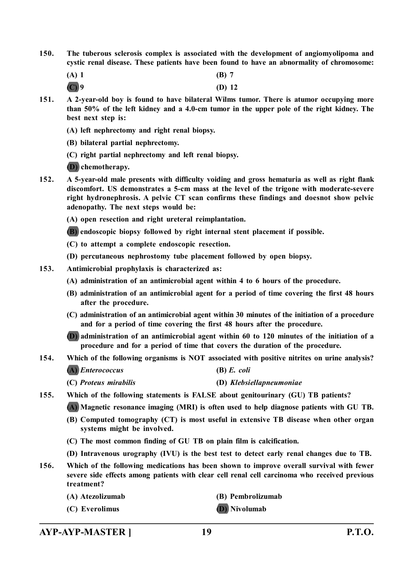- **150. The tuberous sclerosis complex is associated with the development of angiomyolipoma and cystic renal disease. These patients have been found to have an abnormality of chromosome:**
	- **(A) 1 (B) 7**
	- **(C) 9 (D) 12**
- **151. A 2-year-old boy is found to have bilateral Wilms tumor. There is atumor occupying more than 50% of the left kidney and a 4.0-cm tumor in the upper pole of the right kidney. The best next step is:**
	- **(A) left nephrectomy and right renal biopsy.**
	- **(B) bilateral partial nephrectomy.**
	- **(C) right partial nephrectomy and left renal biopsy.**
	- **(D) chemotherapy.**
- **152. A 5-year-old male presents with difficulty voiding and gross hematuria as well as right flank discomfort. US demonstrates a 5-cm mass at the level of the trigone with moderate-severe right hydronephrosis. A pelvic CT scan confirms these findings and doesnot show pelvic adenopathy. The next steps would be:**
	- **(A) open resection and right ureteral reimplantation.**
	- **(B) endoscopic biopsy followed by right internal stent placement if possible.**
	- **(C) to attempt a complete endoscopic resection.**
	- **(D) percutaneous nephrostomy tube placement followed by open biopsy.**
- **153. Antimicrobial prophylaxis is characterized as:**
	- **(A) administration of an antimicrobial agent within 4 to 6 hours of the procedure.**
	- **(B) administration of an antimicrobial agent for a period of time covering the first 48 hours after the procedure.**
	- **(C) administration of an antimicrobial agent within 30 minutes of the initiation of a procedure and for a period of time covering the first 48 hours after the procedure.**
	- **(D) administration of an antimicrobial agent within 60 to 120 minutes of the initiation of a procedure and for a period of time that covers the duration of the procedure.**
- **154. Which of the following organisms is NOT associated with positive nitrites on urine analysis?**

**(A)** *Enterococcus* **(B)** *E. coli*

| (C) Proteus mirabilis | (D) Klebsiellapneumoniae |
|-----------------------|--------------------------|

**155. Which of the following statements is FALSE about genitourinary (GU) TB patients?**

**(A) Magnetic resonance imaging (MRI) is often used to help diagnose patients with GU TB.**

- **(B) Computed tomography (CT) is most useful in extensive TB disease when other organ systems might be involved.**
- **(C) The most common finding of GU TB on plain film is calcification.**
- **(D) Intravenous urography (IVU) is the best test to detect early renal changes due to TB.**
- **156. Which of the following medications has been shown to improve overall survival with fewer severe side effects among patients with clear cell renal cell carcinoma who received previous treatment?**
	- **(A) Atezolizumab (B) Pembrolizumab**
	- **(C) Everolimus (D) Nivolumab**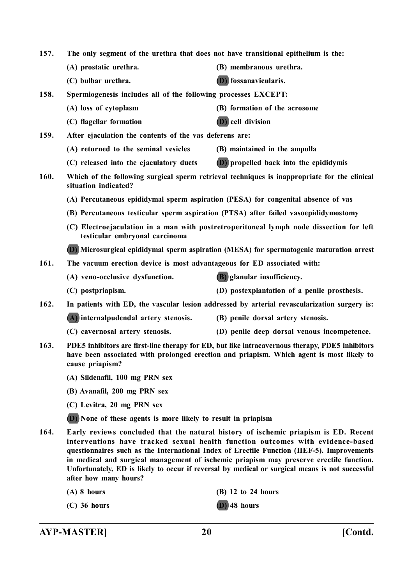| 157.                                                                                                 | The only segment of the urethra that does not have transitional epithelium is the:                                                                                                                             |                                                                                                                                                                                                                                                                                                                                                                                                                                                                   |  |
|------------------------------------------------------------------------------------------------------|----------------------------------------------------------------------------------------------------------------------------------------------------------------------------------------------------------------|-------------------------------------------------------------------------------------------------------------------------------------------------------------------------------------------------------------------------------------------------------------------------------------------------------------------------------------------------------------------------------------------------------------------------------------------------------------------|--|
|                                                                                                      | (A) prostatic urethra.                                                                                                                                                                                         | (B) membranous urethra.                                                                                                                                                                                                                                                                                                                                                                                                                                           |  |
|                                                                                                      | (C) bulbar urethra.                                                                                                                                                                                            | <b>(D)</b> fossanavicularis.                                                                                                                                                                                                                                                                                                                                                                                                                                      |  |
| 158.                                                                                                 | Spermiogenesis includes all of the following processes EXCEPT:                                                                                                                                                 |                                                                                                                                                                                                                                                                                                                                                                                                                                                                   |  |
|                                                                                                      | (A) loss of cytoplasm                                                                                                                                                                                          | (B) formation of the acrosome                                                                                                                                                                                                                                                                                                                                                                                                                                     |  |
|                                                                                                      | (C) flagellar formation                                                                                                                                                                                        | <b>(D)</b> cell division                                                                                                                                                                                                                                                                                                                                                                                                                                          |  |
| 159.<br>After ejaculation the contents of the vas deferens are:                                      |                                                                                                                                                                                                                |                                                                                                                                                                                                                                                                                                                                                                                                                                                                   |  |
|                                                                                                      | (A) returned to the seminal vesicles                                                                                                                                                                           | (B) maintained in the ampulla                                                                                                                                                                                                                                                                                                                                                                                                                                     |  |
|                                                                                                      | (C) released into the ejaculatory ducts                                                                                                                                                                        | <b>(D)</b> propelled back into the epididymis                                                                                                                                                                                                                                                                                                                                                                                                                     |  |
| 160.                                                                                                 | situation indicated?                                                                                                                                                                                           | Which of the following surgical sperm retrieval techniques is inappropriate for the clinical                                                                                                                                                                                                                                                                                                                                                                      |  |
|                                                                                                      | (A) Percutaneous epididymal sperm aspiration (PESA) for congenital absence of vas                                                                                                                              |                                                                                                                                                                                                                                                                                                                                                                                                                                                                   |  |
|                                                                                                      |                                                                                                                                                                                                                | (B) Percutaneous testicular sperm aspiration (PTSA) after failed vasoepididymostomy                                                                                                                                                                                                                                                                                                                                                                               |  |
|                                                                                                      | testicular embryonal carcinoma                                                                                                                                                                                 | (C) Electroejaculation in a man with postretroperitoneal lymph node dissection for left                                                                                                                                                                                                                                                                                                                                                                           |  |
| (D) Microsurgical epididymal sperm aspiration (MESA) for spermatogenic maturation arrest             |                                                                                                                                                                                                                |                                                                                                                                                                                                                                                                                                                                                                                                                                                                   |  |
| 161.                                                                                                 | The vacuum erection device is most advantageous for ED associated with:                                                                                                                                        |                                                                                                                                                                                                                                                                                                                                                                                                                                                                   |  |
|                                                                                                      | (A) veno-occlusive dysfunction.                                                                                                                                                                                | (B) glanular insufficiency.                                                                                                                                                                                                                                                                                                                                                                                                                                       |  |
|                                                                                                      | (C) postpriapism.                                                                                                                                                                                              | (D) postexplantation of a penile prosthesis.                                                                                                                                                                                                                                                                                                                                                                                                                      |  |
| 162.<br>In patients with ED, the vascular lesion addressed by arterial revascularization surgery is: |                                                                                                                                                                                                                |                                                                                                                                                                                                                                                                                                                                                                                                                                                                   |  |
|                                                                                                      | (A) internalpudendal artery stenosis.                                                                                                                                                                          | (B) penile dorsal artery stenosis.                                                                                                                                                                                                                                                                                                                                                                                                                                |  |
|                                                                                                      | (C) cavernosal artery stenosis.                                                                                                                                                                                | (D) penile deep dorsal venous incompetence.                                                                                                                                                                                                                                                                                                                                                                                                                       |  |
| 163.                                                                                                 | PDE5 inhibitors are first-line therapy for ED, but like intracavernous therapy, PDE5 inhibitors<br>have been associated with prolonged erection and priapism. Which agent is most likely to<br>cause priapism? |                                                                                                                                                                                                                                                                                                                                                                                                                                                                   |  |
|                                                                                                      | (A) Sildenafil, 100 mg PRN sex                                                                                                                                                                                 |                                                                                                                                                                                                                                                                                                                                                                                                                                                                   |  |
|                                                                                                      | (B) Avanafil, 200 mg PRN sex                                                                                                                                                                                   |                                                                                                                                                                                                                                                                                                                                                                                                                                                                   |  |
|                                                                                                      | (C) Levitra, 20 mg PRN sex                                                                                                                                                                                     |                                                                                                                                                                                                                                                                                                                                                                                                                                                                   |  |
|                                                                                                      | (D) None of these agents is more likely to result in priapism                                                                                                                                                  |                                                                                                                                                                                                                                                                                                                                                                                                                                                                   |  |
| 164.                                                                                                 |                                                                                                                                                                                                                | Early reviews concluded that the natural history of ischemic priapism is ED. Recent<br>interventions have tracked sexual health function outcomes with evidence-based<br>questionnaires such as the International Index of Erectile Function (IIEF-5). Improvements<br>in medical and surgical management of ischemic priapism may preserve erectile function.<br>Unfortunately, ED is likely to occur if reversal by medical or surgical means is not successful |  |

**after how many hours?**

**(A) 8 hours (B) 12 to 24 hours**

**(C) 36 hours (D) 48 hours**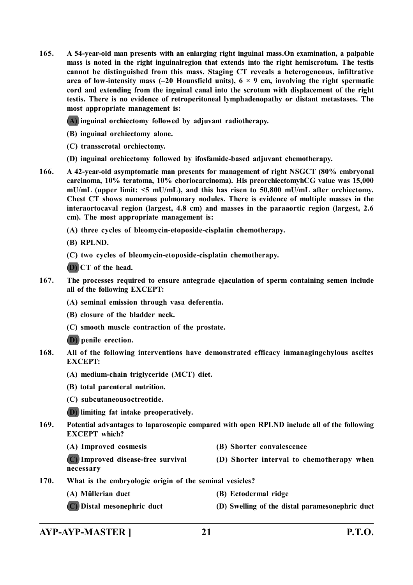**165. A 54-year-old man presents with an enlarging right inguinal mass.On examination, a palpable mass is noted in the right inguinalregion that extends into the right hemiscrotum. The testis cannot be distinguished from this mass. Staging CT reveals a heterogeneous, infiltrative** area of low-intensity mass  $(-20$  Hounsfield units),  $6 \times 9$  cm, involving the right spermatic **cord and extending from the inguinal canal into the scrotum with displacement of the right testis. There is no evidence of retroperitoneal lymphadenopathy or distant metastases. The most appropriate management is:**

**(A) inguinal orchiectomy followed by adjuvant radiotherapy.**

- **(B) inguinal orchiectomy alone.**
- **(C) transscrotal orchiectomy.**
- **(D) inguinal orchiectomy followed by ifosfamide-based adjuvant chemotherapy.**
- **166. A 42-year-old asymptomatic man presents for management of right NSGCT (80% embryonal carcinoma, 10% teratoma, 10% choriocarcinoma). His preorchiectomyhCG value was 15,000 mU/mL (upper limit: <5 mU/mL), and this has risen to 50,800 mU/mL after orchiectomy. Chest CT shows numerous pulmonary nodules. There is evidence of multiple masses in the interaortocaval region (largest, 4.8 cm) and masses in the paraaortic region (largest, 2.6 cm). The most appropriate management is:**
	- **(A) three cycles of bleomycin-etoposide-cisplatin chemotherapy.**
	- **(B) RPLND.**
	- **(C) two cycles of bleomycin-etoposide-cisplatin chemotherapy.**
	- **(D) CT of the head.**
- **167. The processes required to ensure antegrade ejaculation of sperm containing semen include all of the following EXCEPT:**
	- **(A) seminal emission through vasa deferentia.**
	- **(B) closure of the bladder neck.**
	- **(C) smooth muscle contraction of the prostate.**
	- **(D) penile erection.**
- **168. All of the following interventions have demonstrated efficacy inmanagingchylous ascites EXCEPT:**
	- **(A) medium-chain triglyceride (MCT) diet.**
	- **(B) total parenteral nutrition.**
	- **(C) subcutaneousoctreotide.**

**(D) limiting fat intake preoperatively.**

- **169. Potential advantages to laparoscopic compared with open RPLND include all of the following EXCEPT which?**
	- **(A) Improved cosmesis (B) Shorter convalescence**

**(C) Improved disease-free survival (D) Shorter interval to chemotherapy when necessary**

- **170. What is the embryologic origin of the seminal vesicles?**
	- **(A) Müllerian duct (B) Ectodermal ridge**
	- **(C) Distal mesonephric duct (D) Swelling of the distal paramesonephric duct**

# **AYP-AYP-MASTER ] 21 P.T.O.**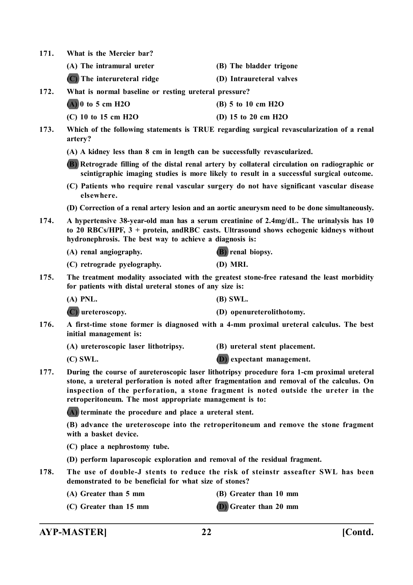**171. What is the Mercier bar?**

| (A) The intramural ureter     | (B) The bladder trigone  |
|-------------------------------|--------------------------|
| $(C)$ The interureteral ridge | (D) Intraureteral valves |

- **172. What is normal baseline or resting ureteral pressure?**
	- **(A) 0 to 5 cm H2O (B) 5 to 10 cm H2O**
	- **(C) 10 to 15 cm H2O (D) 15 to 20 cm H2O**
- **173. Which of the following statements is TRUE regarding surgical revascularization of a renal artery?**
	- **(A) A kidney less than 8 cm in length can be successfully revascularized.**
	- **(B) Retrograde filling of the distal renal artery by collateral circulation on radiographic or scintigraphic imaging studies is more likely to result in a successful surgical outcome.**
	- **(C) Patients who require renal vascular surgery do not have significant vascular disease elsewhere.**
	- **(D) Correction of a renal artery lesion and an aortic aneurysm need to be done simultaneously.**
- **174. A hypertensive 38-year-old man has a serum creatinine of 2.4mg/dL. The urinalysis has 10 to 20 RBCs/HPF, 3 + protein, andRBC casts. Ultrasound shows echogenic kidneys without hydronephrosis. The best way to achieve a diagnosis is:**
	- **(A) renal angiography. (B) renal biopsy.**
	- **(C) retrograde pyelography. (D) MRI.**
- **175. The treatment modality associated with the greatest stone-free ratesand the least morbidity for patients with distal ureteral stones of any size is:**
	- **(A) PNL. (B) SWL.**
	- **(C) ureteroscopy. (D) openureterolithotomy.**
- **176. A first-time stone former is diagnosed with a 4-mm proximal ureteral calculus. The best initial management is:**
	- **(A) ureteroscopic laser lithotripsy. (B) ureteral stent placement.**
	-
	- **(C) SWL. (D) expectant management.**
- **177. During the course of aureteroscopic laser lithotripsy procedure fora 1-cm proximal ureteral stone, a ureteral perforation is noted after fragmentation and removal of the calculus. On inspection of the perforation, a stone fragment is noted outside the ureter in the retroperitoneum. The most appropriate management is to:**

**(A) terminate the procedure and place a ureteral stent.**

**(B) advance the ureteroscope into the retroperitoneum and remove the stone fragment with a basket device.**

- **(C) place a nephrostomy tube.**
- **(D) perform laparoscopic exploration and removal of the residual fragment.**
- **178. The use of double-J stents to reduce the risk of steinstr asseafter SWL has been demonstrated to be beneficial for what size of stones?**
	- **(A) Greater than 5 mm (B) Greater than 10 mm**
	- **(C) Greater than 15 mm (D) Greater than 20 mm**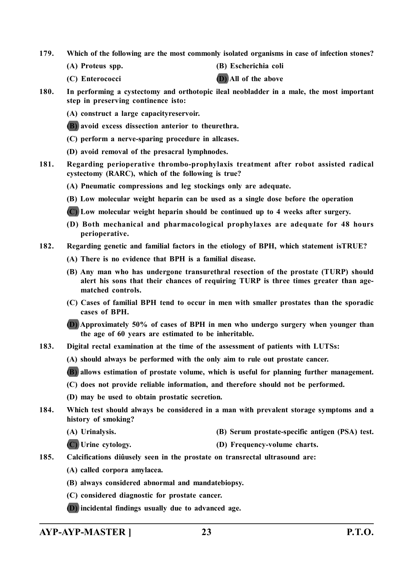- **179. Which of the following are the most commonly isolated organisms in case of infection stones?**
	-
	- **(A) Proteus spp. (B) Escherichia coli**
	- **(C) Enterococci (D) All of the above**
- **180. In performing a cystectomy and orthotopic ileal neobladder in a male, the most important step in preserving continence isto:**
	- **(A) construct a large capacityreservoir.**
	- **(B) avoid excess dissection anterior to theurethra.**
	- **(C) perform a nerve-sparing procedure in allcases.**
	- **(D) avoid removal of the presacral lymphnodes.**
- **181. Regarding perioperative thrombo-prophylaxis treatment after robot assisted radical cystectomy (RARC), which of the following is true?**
	- **(A) Pneumatic compressions and leg stockings only are adequate.**
	- **(B) Low molecular weight heparin can be used as a single dose before the operation**
	- **(C) Low molecular weight heparin should be continued up to 4 weeks after surgery.**
	- **(D) Both mechanical and pharmacological prophylaxes are adequate for 48 hours perioperative.**
- **182. Regarding genetic and familial factors in the etiology of BPH, which statement isTRUE?**
	- **(A) There is no evidence that BPH is a familial disease.**
	- **(B) Any man who has undergone transurethral resection of the prostate (TURP) should alert his sons that their chances of requiring TURP is three times greater than agematched controls.**
	- **(C) Cases of familial BPH tend to occur in men with smaller prostates than the sporadic cases of BPH.**
	- **(D) Approximately 50% of cases of BPH in men who undergo surgery when younger than the age of 60 years are estimated to be inheritable.**
- **183. Digital rectal examination at the time of the assessment of patients with LUTSs:**
	- **(A) should always be performed with the only aim to rule out prostate cancer.**
	- **(B) allows estimation of prostate volume, which is useful for planning further management.**
	- **(C) does not provide reliable information, and therefore should not be performed.**
	- **(D) may be used to obtain prostatic secretion.**
- **184. Which test should always be considered in a man with prevalent storage symptoms and a history of smoking?**
	- **(A) Urinalysis. (B) Serum prostate-specific antigen (PSA) test.**
	- **(C) Urine cytology. (D) Frequency-volume charts.**
- **185. Calcifications diûusely seen in the prostate on transrectal ultrasound are:**
	- **(A) called corpora amylacea.**
	- **(B) always considered abnormal and mandatebiopsy.**
	- **(C) considered diagnostic for prostate cancer.**
	- **(D) incidental findings usually due to advanced age.**

**AYP-AYP-MASTER ] 23 P.T.O.**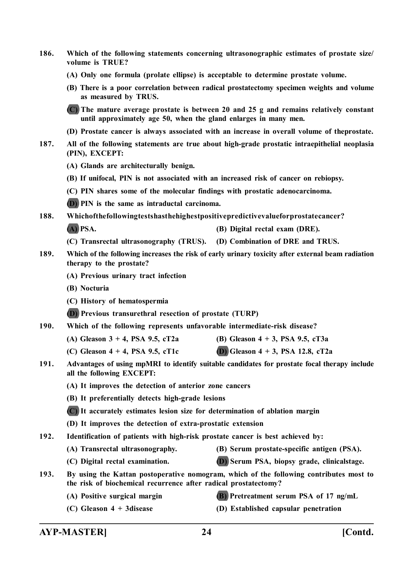- **186. Which of the following statements concerning ultrasonographic estimates of prostate size/ volume is TRUE?**
	- **(A) Only one formula (prolate ellipse) is acceptable to determine prostate volume.**
	- **(B) There is a poor correlation between radical prostatectomy specimen weights and volume as measured by TRUS.**
	- **(C) The mature average prostate is between 20 and 25 g and remains relatively constant until approximately age 50, when the gland enlarges in many men.**
	- **(D) Prostate cancer is always associated with an increase in overall volume of theprostate.**
- **187. All of the following statements are true about high-grade prostatic intraepithelial neoplasia (PIN), EXCEPT:**
	- **(A) Glands are architecturally benign.**
	- **(B) If unifocal, PIN is not associated with an increased risk of cancer on rebiopsy.**
	- **(C) PIN shares some of the molecular findings with prostatic adenocarcinoma.**
	- **(D) PIN is the same as intraductal carcinoma.**
- **188. Whichofthefollowingtestshasthehighestpositivepredictivevalueforprostatecancer?**
	- **(A) PSA. (B) Digital rectal exam (DRE).**
	- **(C) Transrectal ultrasonography (TRUS). (D) Combination of DRE and TRUS.**
- **189. Which of the following increases the risk of early urinary toxicity after external beam radiation therapy to the prostate?**
	- **(A) Previous urinary tract infection**
	- **(B) Nocturia**
	- **(C) History of hematospermia**
	- **(D) Previous transurethral resection of prostate (TURP)**
- **190. Which of the following represents unfavorable intermediate-risk disease?**
	- **(A) Gleason 3 + 4, PSA 9.5, cT2a (B) Gleason 4 + 3, PSA 9.5, cT3a**
	- **(C) Gleason 4 + 4, PSA 9.5, cT1c (D) Gleason 4 + 3, PSA 12.8, cT2a**
- **191. Advantages of using mpMRI to identify suitable candidates for prostate focal therapy include all the following EXCEPT:**
	- **(A) It improves the detection of anterior zone cancers**
	- **(B) It preferentially detects high-grade lesions**
	- **(C) It accurately estimates lesion size for determination of ablation margin**
	- **(D) It improves the detection of extra-prostatic extension**
- **192. Identification of patients with high-risk prostate cancer is best achieved by:**
	- **(A) Transrectal ultrasonography. (B) Serum prostate-specific antigen (PSA).**
	- **(C) Digital rectal examination. (D) Serum PSA, biopsy grade, clinicalstage.**
- **193. By using the Kattan postoperative nomogram, which of the following contributes most to the risk of biochemical recurrence after radical prostatectomy?**
	-
	- **(A) Positive surgical margin (B) Pretreatment serum PSA of 17 ng/mL**
	- **(C) Gleason 4 + 3disease (D) Established capsular penetration**